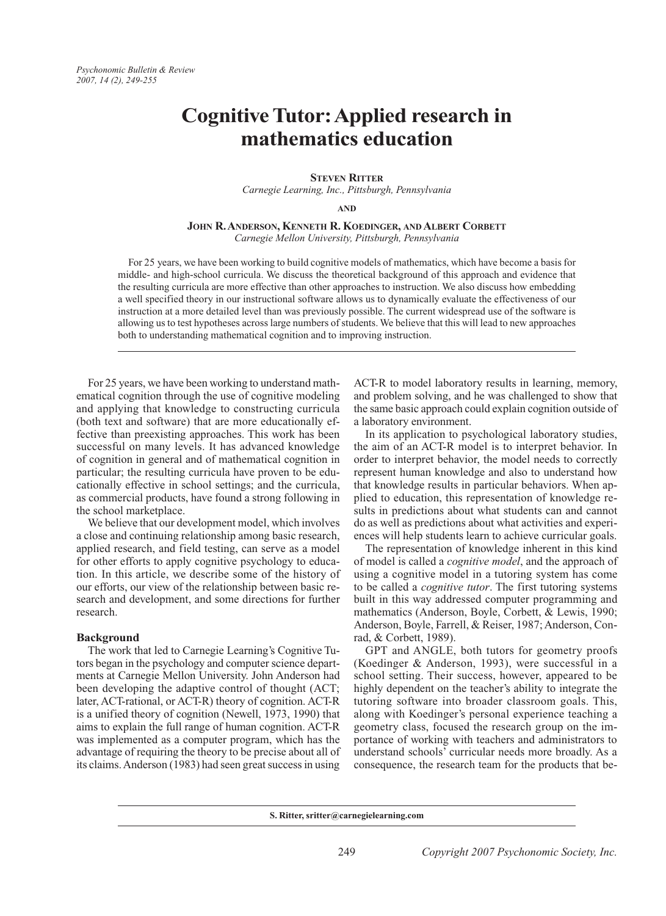# **Cognitive Tutor: Applied research in mathematics education**

**Steven Ritter**

*Carnegie Learning, Inc., Pittsburgh, Pennsylvania*

**and**

**John R. Anderson, Kenneth R. Koedinger, and Albert Corbett** *Carnegie Mellon University, Pittsburgh, Pennsylvania*

For 25 years, we have been working to build cognitive models of mathematics, which have become a basis for middle- and high-school curricula. We discuss the theoretical background of this approach and evidence that the resulting curricula are more effective than other approaches to instruction. We also discuss how embedding a well specified theory in our instructional software allows us to dynamically evaluate the effectiveness of our instruction at a more detailed level than was previously possible. The current widespread use of the software is allowing us to test hypotheses across large numbers of students. We believe that this will lead to new approaches both to understanding mathematical cognition and to improving instruction.

For 25 years, we have been working to understand mathematical cognition through the use of cognitive modeling and applying that knowledge to constructing curricula (both text and software) that are more educationally effective than preexisting approaches. This work has been successful on many levels. It has advanced knowledge of cognition in general and of mathematical cognition in particular; the resulting curricula have proven to be educationally effective in school settings; and the curricula, as commercial products, have found a strong following in the school marketplace.

We believe that our development model, which involves a close and continuing relationship among basic research, applied research, and field testing, can serve as a model for other efforts to apply cognitive psychology to education. In this article, we describe some of the history of our efforts, our view of the relationship between basic research and development, and some directions for further research.

## **Background**

The work that led to Carnegie Learning's Cognitive Tutors began in the psychology and computer science departments at Carnegie Mellon University. John Anderson had been developing the adaptive control of thought (ACT; later, ACT-rational, or ACT-R) theory of cognition. ACT-R is a unified theory of cognition (Newell, 1973, 1990) that aims to explain the full range of human cognition. ACT-R was implemented as a computer program, which has the advantage of requiring the theory to be precise about all of its claims. Anderson (1983) had seen great success in using

ACT-R to model laboratory results in learning, memory, and problem solving, and he was challenged to show that the same basic approach could explain cognition outside of a laboratory environment.

In its application to psychological laboratory studies, the aim of an ACT-R model is to interpret behavior. In order to interpret behavior, the model needs to correctly represent human knowledge and also to understand how that knowledge results in particular behaviors. When applied to education, this representation of knowledge results in predictions about what students can and cannot do as well as predictions about what activities and experiences will help students learn to achieve curricular goals.

The representation of knowledge inherent in this kind of model is called a *cognitive model*, and the approach of using a cognitive model in a tutoring system has come to be called a *cognitive tutor*. The first tutoring systems built in this way addressed computer programming and mathematics (Anderson, Boyle, Corbett, & Lewis, 1990; Anderson, Boyle, Farrell, & Reiser, 1987; Anderson, Conrad, & Corbett, 1989).

GPT and ANGLE, both tutors for geometry proofs (Koedinger & Anderson, 1993), were successful in a school setting. Their success, however, appeared to be highly dependent on the teacher's ability to integrate the tutoring software into broader classroom goals. This, along with Koedinger's personal experience teaching a geometry class, focused the research group on the importance of working with teachers and administrators to understand schools' curricular needs more broadly. As a consequence, the research team for the products that be-

**S. Ritter, sritter@carnegielearning.com**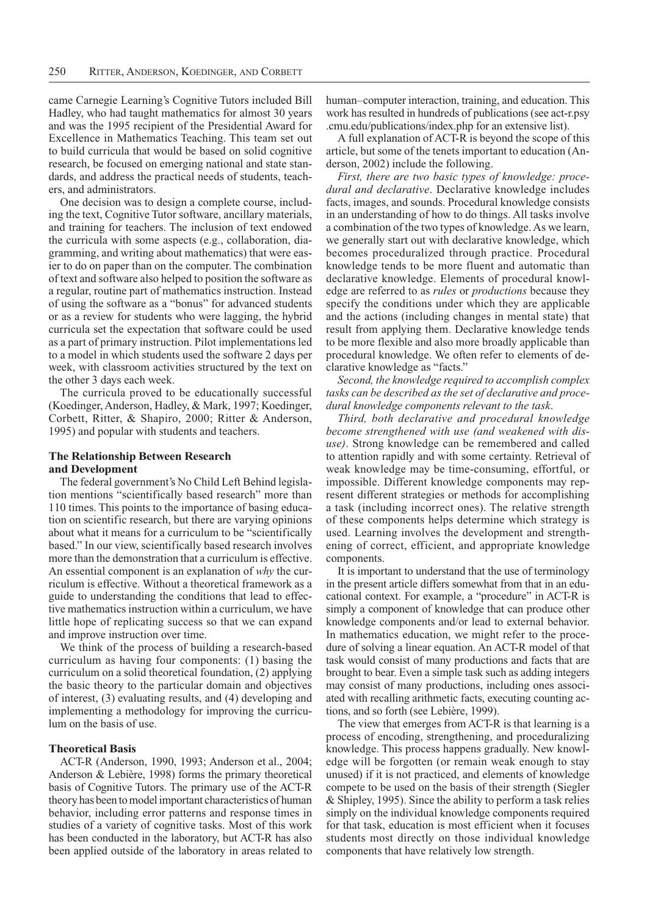came Carnegie Learning's Cognitive Tutors included Bill Hadley, who had taught mathematics for almost 30 years and was the 1995 recipient of the Presidential Award for Excellence in Mathematics Teaching. This team set out to build curricula that would be based on solid cognitive research, be focused on emerging national and state standards, and address the practical needs of students, teachers, and administrators.

One decision was to design a complete course, including the text, Cognitive Tutor software, ancillary materials, and training for teachers. The inclusion of text endowed the curricula with some aspects (e.g., collaboration, diagramming, and writing about mathematics) that were easier to do on paper than on the computer. The combination of text and software also helped to position the software as a regular, routine part of mathematics instruction. Instead of using the software as a "bonus" for advanced students or as a review for students who were lagging, the hybrid curricula set the expectation that software could be used as a part of primary instruction. Pilot implementations led to a model in which students used the software 2 days per week, with classroom activities structured by the text on the other 3 days each week.

The curricula proved to be educationally successful (Koedinger, Anderson, Hadley, & Mark, 1997; Koedinger, Corbett, Ritter, & Shapiro, 2000; Ritter & Anderson, 1995) and popular with students and teachers.

#### **The Relationship Between Research and Development**

The federal government's No Child Left Behind legislation mentions "scientifically based research" more than 110 times. This points to the importance of basing education on scientific research, but there are varying opinions about what it means for a curriculum to be "scientifically based." In our view, scientifically based research involves more than the demonstration that a curriculum is effective. An essential component is an explanation of *why* the curriculum is effective. Without a theoretical framework as a guide to understanding the conditions that lead to effective mathematics instruction within a curriculum, we have little hope of replicating success so that we can expand and improve instruction over time.

We think of the process of building a research-based curriculum as having four components: (1) basing the curriculum on a solid theoretical foundation, (2) applying the basic theory to the particular domain and objectives of interest, (3) evaluating results, and (4) developing and implementing a methodology for improving the curriculum on the basis of use.

## **Theoretical Basis**

ACT-R (Anderson, 1990, 1993; Anderson et al., 2004; Anderson & Lebière, 1998) forms the primary theoretical basis of Cognitive Tutors. The primary use of the ACT-R theory has been to model important characteristics of human behavior, including error patterns and response times in studies of a variety of cognitive tasks. Most of this work has been conducted in the laboratory, but ACT-R has also been applied outside of the laboratory in areas related to human–computer interaction, training, and education. This work has resulted in hundreds of publications (see act-r.psy .cmu.edu/publications/index.php for an extensive list).

A full explanation of ACT-R is beyond the scope of this article, but some of the tenets important to education (Anderson, 2002) include the following.

*First, there are two basic types of knowledge: procedural and declarative*. Declarative knowledge includes facts, images, and sounds. Procedural knowledge consists in an understanding of how to do things. All tasks involve a combination of the two types of knowledge. As we learn, we generally start out with declarative knowledge, which becomes proceduralized through practice. Procedural knowledge tends to be more fluent and automatic than declarative knowledge. Elements of procedural knowledge are referred to as *rules* or *productions* because they specify the conditions under which they are applicable and the actions (including changes in mental state) that result from applying them. Declarative knowledge tends to be more flexible and also more broadly applicable than procedural knowledge. We often refer to elements of declarative knowledge as "facts."

*Second, the knowledge required to accomplish complex tasks can be described as the set of declarative and procedural knowledge components relevant to the task*.

*Third, both declarative and procedural knowledge become strengthened with use (and weakened with disuse)*. Strong knowledge can be remembered and called to attention rapidly and with some certainty. Retrieval of weak knowledge may be time-consuming, effortful, or impossible. Different knowledge components may represent different strategies or methods for accomplishing a task (including incorrect ones). The relative strength of these components helps determine which strategy is used. Learning involves the development and strengthening of correct, efficient, and appropriate knowledge components.

It is important to understand that the use of terminology in the present article differs somewhat from that in an educational context. For example, a "procedure" in ACT-R is simply a component of knowledge that can produce other knowledge components and/or lead to external behavior. In mathematics education, we might refer to the procedure of solving a linear equation. An ACT-R model of that task would consist of many productions and facts that are brought to bear. Even a simple task such as adding integers may consist of many productions, including ones associated with recalling arithmetic facts, executing counting actions, and so forth (see Lebière, 1999).

The view that emerges from ACT-R is that learning is a process of encoding, strengthening, and proceduralizing knowledge. This process happens gradually. New knowledge will be forgotten (or remain weak enough to stay unused) if it is not practiced, and elements of knowledge compete to be used on the basis of their strength (Siegler & Shipley, 1995). Since the ability to perform a task relies simply on the individual knowledge components required for that task, education is most efficient when it focuses students most directly on those individual knowledge components that have relatively low strength.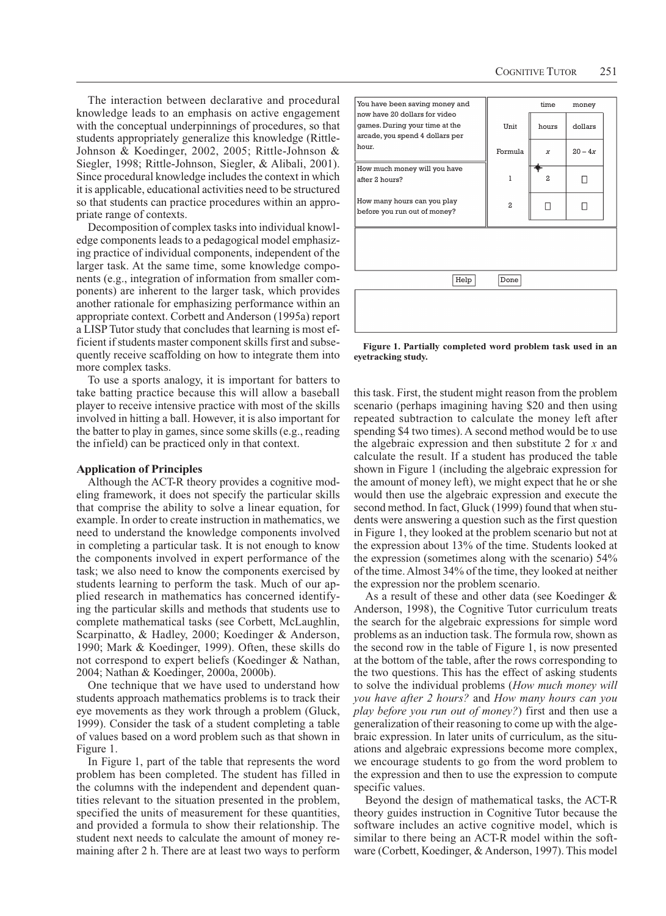The interaction between declarative and procedural knowledge leads to an emphasis on active engagement with the conceptual underpinnings of procedures, so that students appropriately generalize this knowledge (Rittle-Johnson & Koedinger, 2002, 2005; Rittle-Johnson & Siegler, 1998; Rittle-Johnson, Siegler, & Alibali, 2001). Since procedural knowledge includes the context in which it is applicable, educational activities need to be structured so that students can practice procedures within an appropriate range of contexts.

Decomposition of complex tasks into individual knowledge components leads to a pedagogical model emphasizing practice of individual components, independent of the larger task. At the same time, some knowledge components (e.g., integration of information from smaller components) are inherent to the larger task, which provides another rationale for emphasizing performance within an appropriate context. Corbett and Anderson (1995a) report a LISP Tutor study that concludes that learning is most efficient if students master component skills first and subsequently receive scaffolding on how to integrate them into more complex tasks.

To use a sports analogy, it is important for batters to take batting practice because this will allow a baseball player to receive intensive practice with most of the skills involved in hitting a ball. However, it is also important for the batter to play in games, since some skills (e.g., reading the infield) can be practiced only in that context.

### **Application of Principles**

Although the ACT-R theory provides a cognitive modeling framework, it does not specify the particular skills that comprise the ability to solve a linear equation, for example. In order to create instruction in mathematics, we need to understand the knowledge components involved in completing a particular task. It is not enough to know the components involved in expert performance of the task; we also need to know the components exercised by students learning to perform the task. Much of our applied research in mathematics has concerned identifying the particular skills and methods that students use to complete mathematical tasks (see Corbett, McLaughlin, Scarpinatto, & Hadley, 2000; Koedinger & Anderson, 1990; Mark & Koedinger, 1999). Often, these skills do not correspond to expert beliefs (Koedinger & Nathan, 2004; Nathan & Koedinger, 2000a, 2000b).

One technique that we have used to understand how students approach mathematics problems is to track their eye movements as they work through a problem (Gluck, 1999). Consider the task of a student completing a table of values based on a word problem such as that shown in Figure 1.

In Figure 1, part of the table that represents the word problem has been completed. The student has filled in the columns with the independent and dependent quantities relevant to the situation presented in the problem, specified the units of measurement for these quantities, and provided a formula to show their relationship. The student next needs to calculate the amount of money remaining after 2 h. There are at least two ways to perform



**Figure 1. Partially completed word problem task used in an eyetracking study.**

this task. First, the student might reason from the problem scenario (perhaps imagining having \$20 and then using repeated subtraction to calculate the money left after spending \$4 two times). A second method would be to use the algebraic expression and then substitute 2 for *x* and calculate the result. If a student has produced the table shown in Figure 1 (including the algebraic expression for the amount of money left), we might expect that he or she would then use the algebraic expression and execute the second method. In fact, Gluck (1999) found that when students were answering a question such as the first question in Figure 1, they looked at the problem scenario but not at the expression about 13% of the time. Students looked at the expression (sometimes along with the scenario) 54% of the time. Almost 34% of the time, they looked at neither the expression nor the problem scenario.

As a result of these and other data (see Koedinger & Anderson, 1998), the Cognitive Tutor curriculum treats the search for the algebraic expressions for simple word problems as an induction task. The formula row, shown as the second row in the table of Figure 1, is now presented at the bottom of the table, after the rows corresponding to the two questions. This has the effect of asking students to solve the individual problems (*How much money will you have after 2 hours?* and *How many hours can you play before you run out of money?*) first and then use a generalization of their reasoning to come up with the algebraic expression. In later units of curriculum, as the situations and algebraic expressions become more complex, we encourage students to go from the word problem to the expression and then to use the expression to compute specific values.

Beyond the design of mathematical tasks, the ACT-R theory guides instruction in Cognitive Tutor because the software includes an active cognitive model, which is similar to there being an ACT-R model within the software (Corbett, Koedinger, & Anderson, 1997). This model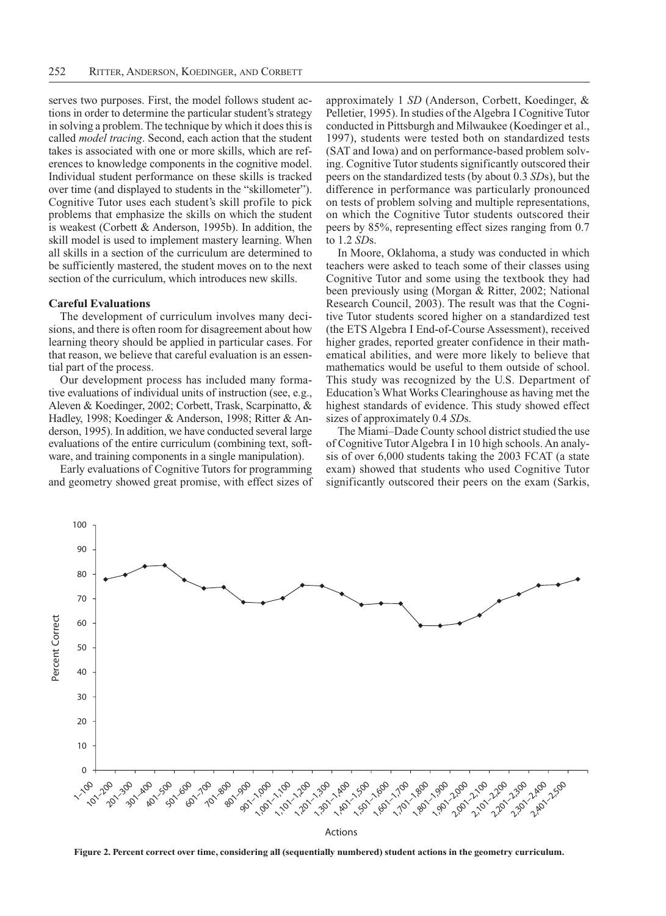serves two purposes. First, the model follows student actions in order to determine the particular student's strategy in solving a problem. The technique by which it does this is called *model tracing*. Second, each action that the student takes is associated with one or more skills, which are references to knowledge components in the cognitive model. Individual student performance on these skills is tracked over time (and displayed to students in the "skillometer"). Cognitive Tutor uses each student's skill profile to pick problems that emphasize the skills on which the student is weakest (Corbett & Anderson, 1995b). In addition, the skill model is used to implement mastery learning. When all skills in a section of the curriculum are determined to be sufficiently mastered, the student moves on to the next section of the curriculum, which introduces new skills.

## **Careful Evaluations**

The development of curriculum involves many decisions, and there is often room for disagreement about how learning theory should be applied in particular cases. For that reason, we believe that careful evaluation is an essential part of the process.

Our development process has included many formative evaluations of individual units of instruction (see, e.g., Aleven & Koedinger, 2002; Corbett, Trask, Scarpinatto, & Hadley, 1998; Koedinger & Anderson, 1998; Ritter & Anderson, 1995). In addition, we have conducted several large evaluations of the entire curriculum (combining text, software, and training components in a single manipulation).

Early evaluations of Cognitive Tutors for programming and geometry showed great promise, with effect sizes of approximately 1 *SD* (Anderson, Corbett, Koedinger, & Pelletier, 1995). In studies of the Algebra I Cognitive Tutor conducted in Pittsburgh and Milwaukee (Koedinger et al., 1997), students were tested both on standardized tests (SAT and Iowa) and on performance-based problem solving. Cognitive Tutor students significantly outscored their peers on the standardized tests (by about 0.3 *SD*s), but the difference in performance was particularly pronounced on tests of problem solving and multiple representations, on which the Cognitive Tutor students outscored their peers by 85%, representing effect sizes ranging from 0.7 to 1.2 *SD*s.

In Moore, Oklahoma, a study was conducted in which teachers were asked to teach some of their classes using Cognitive Tutor and some using the textbook they had been previously using (Morgan & Ritter, 2002; National Research Council, 2003). The result was that the Cognitive Tutor students scored higher on a standardized test (the ETS Algebra I End-of-Course Assessment), received higher grades, reported greater confidence in their mathematical abilities, and were more likely to believe that mathematics would be useful to them outside of school. This study was recognized by the U.S. Department of Education's What Works Clearinghouse as having met the highest standards of evidence. This study showed effect sizes of approximately 0.4 *SD*s.

The Miami–Dade County school district studied the use of Cognitive Tutor Algebra I in 10 high schools. An analysis of over 6,000 students taking the 2003 FCAT (a state exam) showed that students who used Cognitive Tutor significantly outscored their peers on the exam (Sarkis,



**Figure 2. Percent correct over time, considering all (sequentially numbered) student actions in the geometry curriculum.**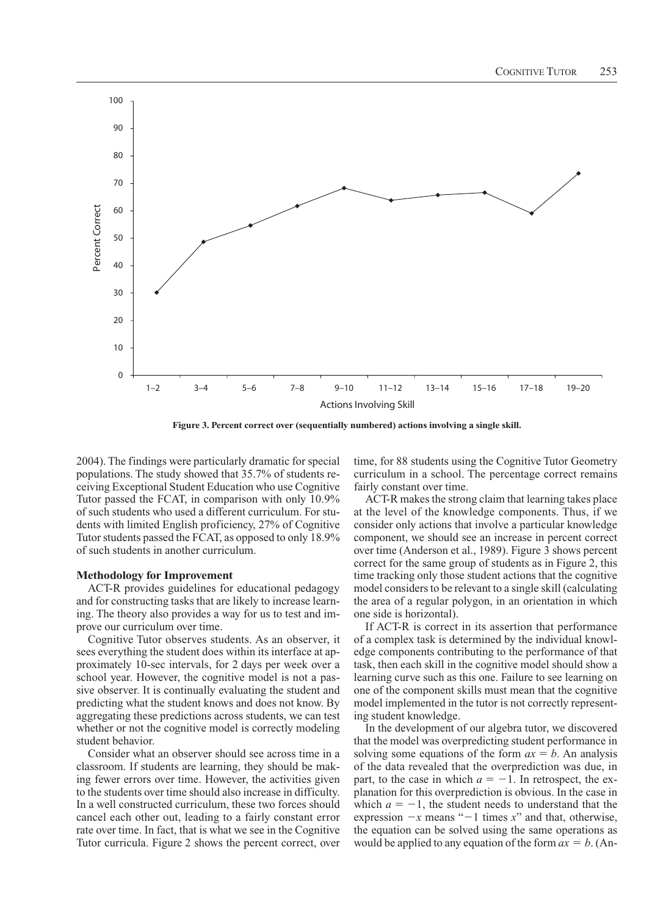

**Figure 3. Percent correct over (sequentially numbered) actions involving a single skill.**

2004). The findings were particularly dramatic for special populations. The study showed that 35.7% of students receiving Exceptional Student Education who use Cognitive Tutor passed the FCAT, in comparison with only 10.9% of such students who used a different curriculum. For students with limited English proficiency, 27% of Cognitive Tutor students passed the FCAT, as opposed to only 18.9% of such students in another curriculum.

#### **Methodology for Improvement**

ACT-R provides guidelines for educational pedagogy and for constructing tasks that are likely to increase learning. The theory also provides a way for us to test and improve our curriculum over time.

Cognitive Tutor observes students. As an observer, it sees everything the student does within its interface at approximately 10-sec intervals, for 2 days per week over a school year. However, the cognitive model is not a passive observer. It is continually evaluating the student and predicting what the student knows and does not know. By aggregating these predictions across students, we can test whether or not the cognitive model is correctly modeling student behavior.

Consider what an observer should see across time in a classroom. If students are learning, they should be making fewer errors over time. However, the activities given to the students over time should also increase in difficulty. In a well constructed curriculum, these two forces should cancel each other out, leading to a fairly constant error rate over time. In fact, that is what we see in the Cognitive Tutor curricula. Figure 2 shows the percent correct, over

time, for 88 students using the Cognitive Tutor Geometry curriculum in a school. The percentage correct remains fairly constant over time.

ACT-R makes the strong claim that learning takes place at the level of the knowledge components. Thus, if we consider only actions that involve a particular knowledge component, we should see an increase in percent correct over time (Anderson et al., 1989). Figure 3 shows percent correct for the same group of students as in Figure 2, this time tracking only those student actions that the cognitive model considers to be relevant to a single skill (calculating the area of a regular polygon, in an orientation in which one side is horizontal).

If ACT-R is correct in its assertion that performance of a complex task is determined by the individual knowledge components contributing to the performance of that task, then each skill in the cognitive model should show a learning curve such as this one. Failure to see learning on one of the component skills must mean that the cognitive model implemented in the tutor is not correctly representing student knowledge.

In the development of our algebra tutor, we discovered that the model was overpredicting student performance in solving some equations of the form  $ax = b$ . An analysis of the data revealed that the overprediction was due, in part, to the case in which  $a = -1$ . In retrospect, the explanation for this overprediction is obvious. In the case in which  $a = -1$ , the student needs to understand that the expression  $-x$  means " $-1$  times x" and that, otherwise, the equation can be solved using the same operations as would be applied to any equation of the form  $ax = b$ . (An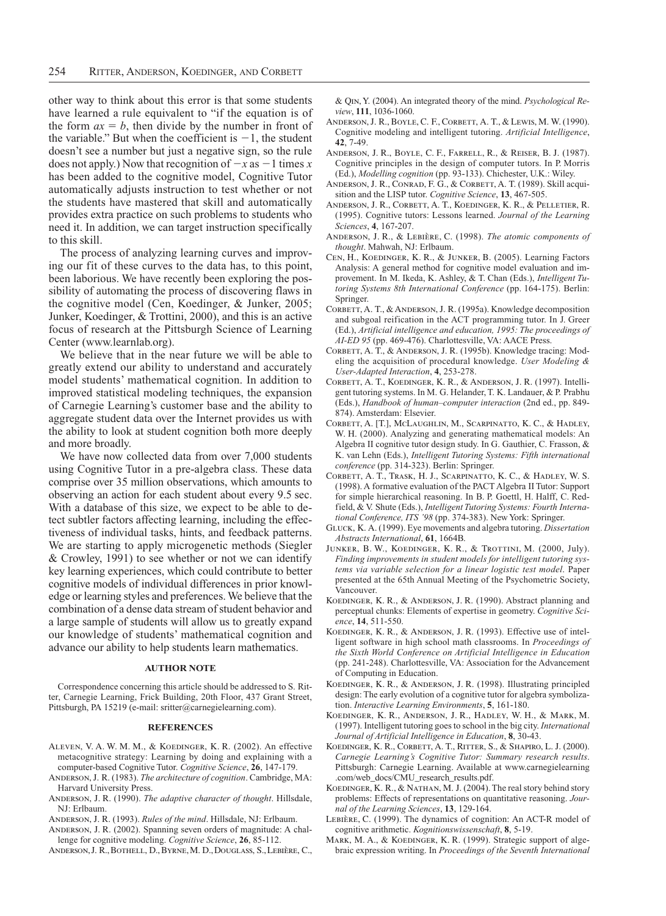other way to think about this error is that some students have learned a rule equivalent to "if the equation is of the form  $ax = b$ , then divide by the number in front of the variable." But when the coefficient is  $-1$ , the student doesn't see a number but just a negative sign, so the rule does not apply.) Now that recognition of  $-x$  as  $-1$  times *x* has been added to the cognitive model, Cognitive Tutor automatically adjusts instruction to test whether or not the students have mastered that skill and automatically provides extra practice on such problems to students who need it. In addition, we can target instruction specifically to this skill.

The process of analyzing learning curves and improving our fit of these curves to the data has, to this point, been laborious. We have recently been exploring the possibility of automating the process of discovering flaws in the cognitive model (Cen, Koedinger, & Junker, 2005; Junker, Koedinger, & Trottini, 2000), and this is an active focus of research at the Pittsburgh Science of Learning Center (www.learnlab.org).

We believe that in the near future we will be able to greatly extend our ability to understand and accurately model students' mathematical cognition. In addition to improved statistical modeling techniques, the expansion of Carnegie Learning's customer base and the ability to aggregate student data over the Internet provides us with the ability to look at student cognition both more deeply and more broadly.

We have now collected data from over 7,000 students using Cognitive Tutor in a pre-algebra class. These data comprise over 35 million observations, which amounts to observing an action for each student about every 9.5 sec. With a database of this size, we expect to be able to detect subtler factors affecting learning, including the effectiveness of individual tasks, hints, and feedback patterns. We are starting to apply microgenetic methods (Siegler & Crowley, 1991) to see whether or not we can identify key learning experiences, which could contribute to better cognitive models of individual differences in prior knowledge or learning styles and preferences. We believe that the combination of a dense data stream of student behavior and a large sample of students will allow us to greatly expand our knowledge of students' mathematical cognition and advance our ability to help students learn mathematics.

#### **Author Note**

Correspondence concerning this article should be addressed to S. Ritter, Carnegie Learning, Frick Building, 20th Floor, 437 Grant Street, Pittsburgh, PA 15219 (e-mail: sritter@carnegielearning.com).

#### **References**

- Aleven, V. A. W. M. M., & Koedinger, K. R. (2002). An effective metacognitive strategy: Learning by doing and explaining with a computer-based Cognitive Tutor. *Cognitive Science*, **26**, 147-179.
- Anderson, J. R. (1983). *The architecture of cognition*. Cambridge, MA: Harvard University Press.
- Anderson, J. R. (1990). *The adaptive character of thought*. Hillsdale, NJ: Erlbaum.
- Anderson, J. R. (1993). *Rules of the mind*. Hillsdale, NJ: Erlbaum.
- Anderson, J. R. (2002). Spanning seven orders of magnitude: A chal-
- lenge for cognitive modeling. *Cognitive Science*, **26**, 85-112.
- Anderson, J. R., Bothell, D., Byrne, M. D., Douglass, S., Lebière, C.,

& Qin,Y. (2004). An integrated theory of the mind. *Psychological Review*, **111**, 1036-1060.

- Anderson, J. R., Boyle, C. F., Corbett, A. T., & Lewis, M. W. (1990). Cognitive modeling and intelligent tutoring. *Artificial Intelligence*, **42**, 7-49.
- Anderson, J. R., Boyle, C. F., Farrell, R., & Reiser, B. J. (1987). Cognitive principles in the design of computer tutors. In P. Morris (Ed.), *Modelling cognition* (pp. 93-133). Chichester, U.K.: Wiley.
- Anderson, J. R., Conrad, F. G., & Corbett, A. T. (1989). Skill acquisition and the LISP tutor. *Cognitive Science*, **13**, 467-505.
- Anderson, J. R., Corbett, A. T., Koedinger, K. R., & Pelletier, R. (1995). Cognitive tutors: Lessons learned. *Journal of the Learning Sciences*, **4**, 167-207.
- Anderson, J. R., & Lebière, C. (1998). *The atomic components of thought*. Mahwah, NJ: Erlbaum.
- Cen, H., Koedinger, K. R., & Junker, B. (2005). Learning Factors Analysis: A general method for cognitive model evaluation and improvement. In M. Ikeda, K. Ashley, & T. Chan (Eds.), *Intelligent Tutoring Systems 8th International Conference* (pp. 164-175). Berlin: Springer.
- CORBETT, A. T., & ANDERSON, J. R. (1995a). Knowledge decomposition and subgoal reification in the ACT programming tutor. In J. Greer (Ed.), *Artificial intelligence and education, 1995: The proceedings of AI-ED 95* (pp. 469-476). Charlottesville, VA: AACE Press.
- CORBETT, A. T., & ANDERSON, J. R. (1995b). Knowledge tracing: Modeling the acquisition of procedural knowledge. *User Modeling & User-Adapted Interaction*, **4**, 253-278.
- Corbett, A. T., Koedinger, K. R., & Anderson, J. R. (1997). Intelligent tutoring systems. In M. G. Helander, T. K. Landauer, & P. Prabhu (Eds.), *Handbook of human–computer interaction* (2nd ed., pp. 849- 874). Amsterdam: Elsevier.
- Corbett, A. [T.], McLaughlin, M., Scarpinatto, K. C., & Hadley, W. H. (2000). Analyzing and generating mathematical models: An Algebra II cognitive tutor design study. In G. Gauthier, C. Frasson, & K. van Lehn (Eds.), *Intelligent Tutoring Systems: Fifth international conference* (pp. 314-323). Berlin: Springer.
- Corbett, A. T., Trask, H. J., Scarpinatto, K. C., & Hadley, W. S. (1998). A formative evaluation of the PACT Algebra II Tutor: Support for simple hierarchical reasoning. In B. P. Goettl, H. Halff, C. Redfield, & V. Shute (Eds.), *Intelligent Tutoring Systems: Fourth International Conference, ITS '98* (pp. 374-383). New York: Springer.
- Gluck, K. A. (1999). Eye movements and algebra tutoring. *Dissertation Abstracts International*, **61**, 1664B.
- JUNKER, B. W., KOEDINGER, K. R., & TROTTINI, M. (2000, July). *Finding improvements in student models for intelligent tutoring systems via variable selection for a linear logistic test model*. Paper presented at the 65th Annual Meeting of the Psychometric Society, Vancouver.
- KOEDINGER, K. R., & ANDERSON, J. R. (1990). Abstract planning and perceptual chunks: Elements of expertise in geometry. *Cognitive Science*, **14**, 511-550.
- KOEDINGER, K. R., & ANDERSON, J. R. (1993). Effective use of intelligent software in high school math classrooms. In *Proceedings of the Sixth World Conference on Artificial Intelligence in Education*  (pp. 241-248). Charlottesville, VA: Association for the Advancement of Computing in Education.
- KOEDINGER, K. R., & ANDERSON, J. R. (1998). Illustrating principled design: The early evolution of a cognitive tutor for algebra symbolization. *Interactive Learning Environments*, **5**, 161-180.
- Koedinger, K. R., Anderson, J. R., Hadley, W. H., & Mark, M. (1997). Intelligent tutoring goes to school in the big city. *International Journal of Artificial Intelligence in Education*, **8**, 30-43.
- Koedinger, K. R., Corbett, A. T., Ritter, S., & Shapiro, L. J. (2000). *Carnegie Learning's Cognitive Tutor: Summary research results*. Pittsburgh: Carnegie Learning. Available at www.carnegielearning .com/web\_docs/CMU\_research\_results.pdf.
- KOEDINGER, K. R., & NATHAN, M. J. (2004). The real story behind story problems: Effects of representations on quantitative reasoning. *Journal of the Learning Sciences*, **13**, 129-164.
- Lebière, C. (1999). The dynamics of cognition: An ACT-R model of cognitive arithmetic. *Kognitionswissenschaft*, **8**, 5-19.
- MARK, M. A., & KOEDINGER, K. R. (1999). Strategic support of algebraic expression writing. In *Proceedings of the Seventh International*